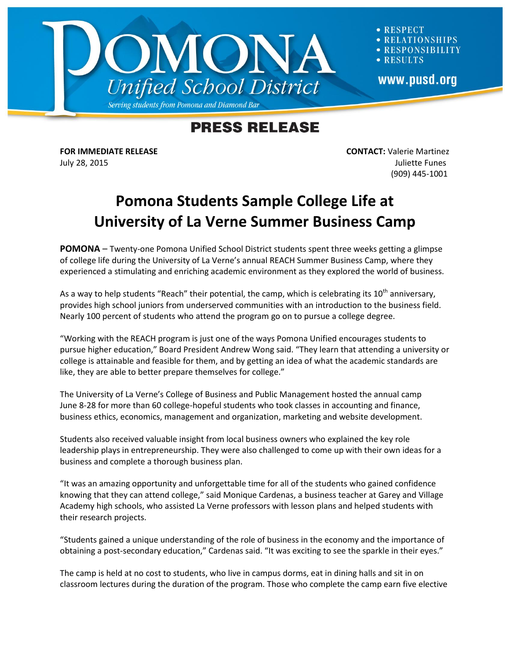

**RESPECT ATIONSHIPS SPONSIBILITY RESULTS** www.pusd.org

## **PRESS RELEASE**

**FOR IMMEDIATE RELEASE CONTACT:** Valerie Martinez July 28, 2015 Juliette Funes (909) 445-1001

## **Pomona Students Sample College Life at University of La Verne Summer Business Camp**

**POMONA** – Twenty-one Pomona Unified School District students spent three weeks getting a glimpse of college life during the University of La Verne's annual REACH Summer Business Camp, where they experienced a stimulating and enriching academic environment as they explored the world of business.

As a way to help students "Reach" their potential, the camp, which is celebrating its  $10^{th}$  anniversary, provides high school juniors from underserved communities with an introduction to the business field. Nearly 100 percent of students who attend the program go on to pursue a college degree.

"Working with the REACH program is just one of the ways Pomona Unified encourages students to pursue higher education," Board President Andrew Wong said. "They learn that attending a university or college is attainable and feasible for them, and by getting an idea of what the academic standards are like, they are able to better prepare themselves for college."

The University of La Verne's College of Business and Public Management hosted the annual camp June 8-28 for more than 60 college-hopeful students who took classes in accounting and finance, business ethics, economics, management and organization, marketing and website development.

Students also received valuable insight from local business owners who explained the key role leadership plays in entrepreneurship. They were also challenged to come up with their own ideas for a business and complete a thorough business plan.

"It was an amazing opportunity and unforgettable time for all of the students who gained confidence knowing that they can attend college," said Monique Cardenas, a business teacher at Garey and Village Academy high schools, who assisted La Verne professors with lesson plans and helped students with their research projects.

"Students gained a unique understanding of the role of business in the economy and the importance of obtaining a post-secondary education," Cardenas said. "It was exciting to see the sparkle in their eyes."

The camp is held at no cost to students, who live in campus dorms, eat in dining halls and sit in on classroom lectures during the duration of the program. Those who complete the camp earn five elective